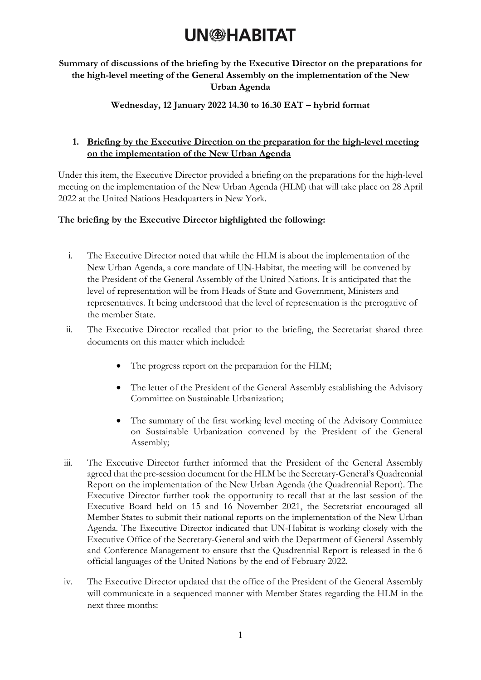## **UN<sup>®</sup>HABITAT**

### **Summary of discussions of the briefing by the Executive Director on the preparations for the high-level meeting of the General Assembly on the implementation of the New Urban Agenda**

### **Wednesday, 12 January 2022 14.30 to 16.30 EAT – hybrid format**

### **1. Briefing by the Executive Direction on the preparation for the high-level meeting on the implementation of the New Urban Agenda**

Under this item, the Executive Director provided a briefing on the preparations for the high-level meeting on the implementation of the New Urban Agenda (HLM) that will take place on 28 April 2022 at the United Nations Headquarters in New York.

#### **The briefing by the Executive Director highlighted the following:**

- i. The Executive Director noted that while the HLM is about the implementation of the New Urban Agenda, a core mandate of UN-Habitat, the meeting will be convened by the President of the General Assembly of the United Nations. It is anticipated that the level of representation will be from Heads of State and Government, Ministers and representatives. It being understood that the level of representation is the prerogative of the member State.
- ii. The Executive Director recalled that prior to the briefing, the Secretariat shared three documents on this matter which included:
	- The progress report on the preparation for the HLM;
	- The letter of the President of the General Assembly establishing the Advisory Committee on Sustainable Urbanization;
	- The summary of the first working level meeting of the Advisory Committee on Sustainable Urbanization convened by the President of the General Assembly;
- iii. The Executive Director further informed that the President of the General Assembly agreed that the pre-session document for the HLM be the Secretary-General's Quadrennial Report on the implementation of the New Urban Agenda (the Quadrennial Report). The Executive Director further took the opportunity to recall that at the last session of the Executive Board held on 15 and 16 November 2021, the Secretariat encouraged all Member States to submit their national reports on the implementation of the New Urban Agenda. The Executive Director indicated that UN-Habitat is working closely with the Executive Office of the Secretary-General and with the Department of General Assembly and Conference Management to ensure that the Quadrennial Report is released in the 6 official languages of the United Nations by the end of February 2022.
- iv. The Executive Director updated that the office of the President of the General Assembly will communicate in a sequenced manner with Member States regarding the HLM in the next three months: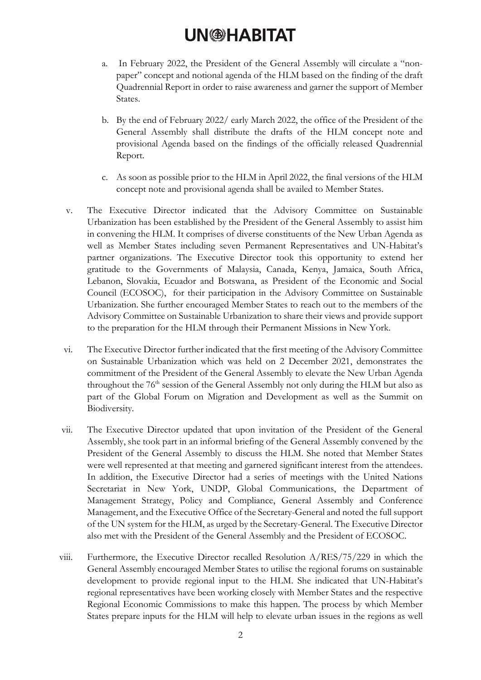## **UN@HABITAT**

- a. In February 2022, the President of the General Assembly will circulate a "nonpaper" concept and notional agenda of the HLM based on the finding of the draft Quadrennial Report in order to raise awareness and garner the support of Member States.
- b. By the end of February 2022/ early March 2022, the office of the President of the General Assembly shall distribute the drafts of the HLM concept note and provisional Agenda based on the findings of the officially released Quadrennial Report.
- c. As soon as possible prior to the HLM in April 2022, the final versions of the HLM concept note and provisional agenda shall be availed to Member States.
- v. The Executive Director indicated that the Advisory Committee on Sustainable Urbanization has been established by the President of the General Assembly to assist him in convening the HLM. It comprises of diverse constituents of the New Urban Agenda as well as Member States including seven Permanent Representatives and UN-Habitat's partner organizations. The Executive Director took this opportunity to extend her gratitude to the Governments of Malaysia, Canada, Kenya, Jamaica, South Africa, Lebanon, Slovakia, Ecuador and Botswana, as President of the Economic and Social Council (ECOSOC), for their participation in the Advisory Committee on Sustainable Urbanization. She further encouraged Member States to reach out to the members of the Advisory Committee on Sustainable Urbanization to share their views and provide support to the preparation for the HLM through their Permanent Missions in New York.
- vi. The Executive Director further indicated that the first meeting of the Advisory Committee on Sustainable Urbanization which was held on 2 December 2021, demonstrates the commitment of the President of the General Assembly to elevate the New Urban Agenda throughout the 76<sup>th</sup> session of the General Assembly not only during the HLM but also as part of the Global Forum on Migration and Development as well as the Summit on Biodiversity.
- vii. The Executive Director updated that upon invitation of the President of the General Assembly, she took part in an informal briefing of the General Assembly convened by the President of the General Assembly to discuss the HLM. She noted that Member States were well represented at that meeting and garnered significant interest from the attendees. In addition, the Executive Director had a series of meetings with the United Nations Secretariat in New York, UNDP, Global Communications, the Department of Management Strategy, Policy and Compliance, General Assembly and Conference Management, and the Executive Office of the Secretary-General and noted the full support of the UN system for the HLM, as urged by the Secretary-General. The Executive Director also met with the President of the General Assembly and the President of ECOSOC.
- viii. Furthermore, the Executive Director recalled Resolution A/RES/75/229 in which the General Assembly encouraged Member States to utilise the regional forums on sustainable development to provide regional input to the HLM. She indicated that UN-Habitat's regional representatives have been working closely with Member States and the respective Regional Economic Commissions to make this happen. The process by which Member States prepare inputs for the HLM will help to elevate urban issues in the regions as well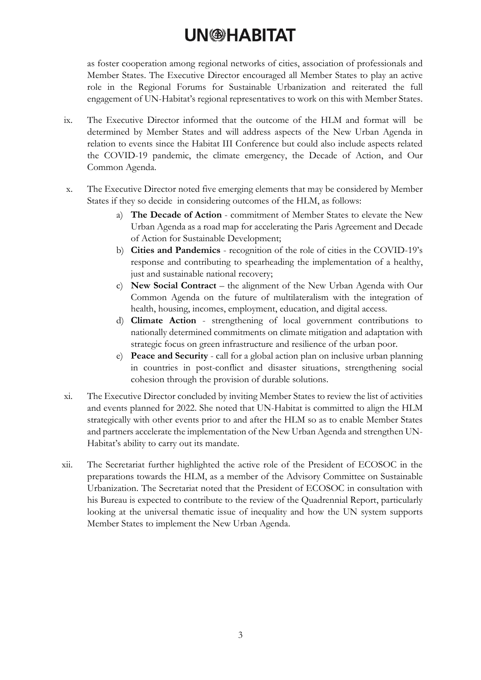# **UN@HABITAT**

as foster cooperation among regional networks of cities, association of professionals and Member States. The Executive Director encouraged all Member States to play an active role in the Regional Forums for Sustainable Urbanization and reiterated the full engagement of UN-Habitat's regional representatives to work on this with Member States.

- ix. The Executive Director informed that the outcome of the HLM and format will be determined by Member States and will address aspects of the New Urban Agenda in relation to events since the Habitat III Conference but could also include aspects related the COVID-19 pandemic, the climate emergency, the Decade of Action, and Our Common Agenda.
- x. The Executive Director noted five emerging elements that may be considered by Member States if they so decide in considering outcomes of the HLM, as follows:
	- a) **The Decade of Action** commitment of Member States to elevate the New Urban Agenda as a road map for accelerating the Paris Agreement and Decade of Action for Sustainable Development;
	- b) **Cities and Pandemics** recognition of the role of cities in the COVID-19's response and contributing to spearheading the implementation of a healthy, just and sustainable national recovery;
	- c) **New Social Contract** the alignment of the New Urban Agenda with Our Common Agenda on the future of multilateralism with the integration of health, housing, incomes, employment, education, and digital access.
	- d) **Climate Action** strengthening of local government contributions to nationally determined commitments on climate mitigation and adaptation with strategic focus on green infrastructure and resilience of the urban poor.
	- e) **Peace and Security** call for a global action plan on inclusive urban planning in countries in post-conflict and disaster situations, strengthening social cohesion through the provision of durable solutions.
- xi. The Executive Director concluded by inviting Member States to review the list of activities and events planned for 2022. She noted that UN-Habitat is committed to align the HLM strategically with other events prior to and after the HLM so as to enable Member States and partners accelerate the implementation of the New Urban Agenda and strengthen UN-Habitat's ability to carry out its mandate.
- xii. The Secretariat further highlighted the active role of the President of ECOSOC in the preparations towards the HLM, as a member of the Advisory Committee on Sustainable Urbanization. The Secretariat noted that the President of ECOSOC in consultation with his Bureau is expected to contribute to the review of the Quadrennial Report, particularly looking at the universal thematic issue of inequality and how the UN system supports Member States to implement the New Urban Agenda.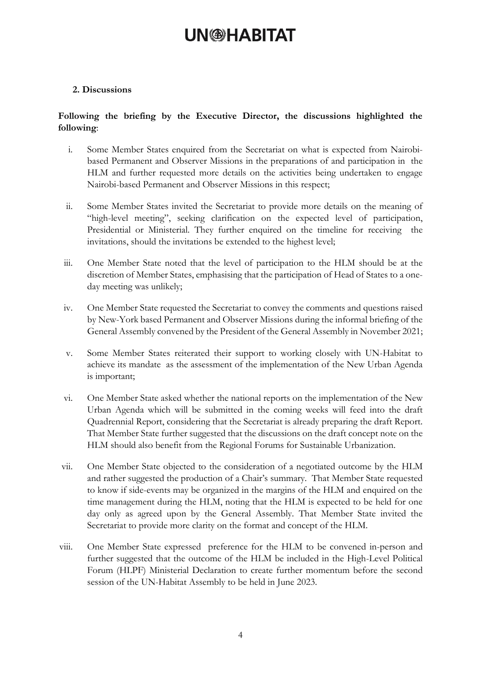## **UN<sup>®</sup>HABITAT**

### **2. Discussions**

### **Following the briefing by the Executive Director, the discussions highlighted the following**:

- i. Some Member States enquired from the Secretariat on what is expected from Nairobibased Permanent and Observer Missions in the preparations of and participation in the HLM and further requested more details on the activities being undertaken to engage Nairobi-based Permanent and Observer Missions in this respect;
- ii. Some Member States invited the Secretariat to provide more details on the meaning of "high-level meeting", seeking clarification on the expected level of participation, Presidential or Ministerial. They further enquired on the timeline for receiving the invitations, should the invitations be extended to the highest level;
- iii. One Member State noted that the level of participation to the HLM should be at the discretion of Member States, emphasising that the participation of Head of States to a oneday meeting was unlikely;
- iv. One Member State requested the Secretariat to convey the comments and questions raised by New-York based Permanent and Observer Missions during the informal briefing of the General Assembly convened by the President of the General Assembly in November 2021;
- v. Some Member States reiterated their support to working closely with UN-Habitat to achieve its mandate as the assessment of the implementation of the New Urban Agenda is important;
- vi. One Member State asked whether the national reports on the implementation of the New Urban Agenda which will be submitted in the coming weeks will feed into the draft Quadrennial Report, considering that the Secretariat is already preparing the draft Report. That Member State further suggested that the discussions on the draft concept note on the HLM should also benefit from the Regional Forums for Sustainable Urbanization.
- vii. One Member State objected to the consideration of a negotiated outcome by the HLM and rather suggested the production of a Chair's summary. That Member State requested to know if side-events may be organized in the margins of the HLM and enquired on the time management during the HLM, noting that the HLM is expected to be held for one day only as agreed upon by the General Assembly. That Member State invited the Secretariat to provide more clarity on the format and concept of the HLM.
- viii. One Member State expressed preference for the HLM to be convened in-person and further suggested that the outcome of the HLM be included in the High-Level Political Forum (HLPF) Ministerial Declaration to create further momentum before the second session of the UN-Habitat Assembly to be held in June 2023.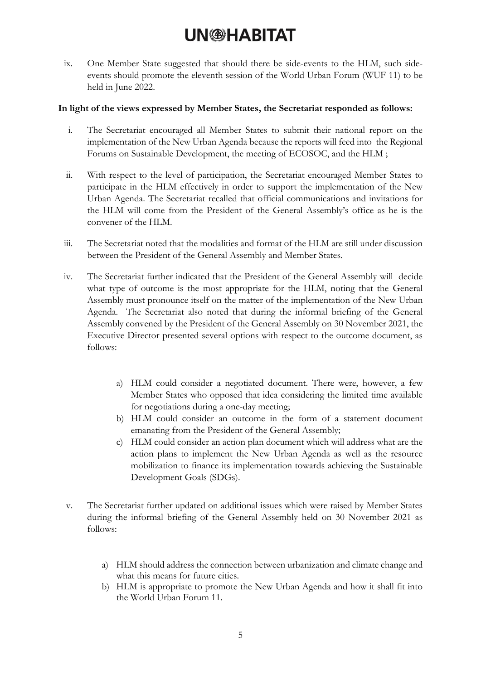# **UN<sup>@HABITAT**</sup>

ix. One Member State suggested that should there be side-events to the HLM, such sideevents should promote the eleventh session of the World Urban Forum (WUF 11) to be held in June 2022.

#### **In light of the views expressed by Member States, the Secretariat responded as follows:**

- i. The Secretariat encouraged all Member States to submit their national report on the implementation of the New Urban Agenda because the reports will feed into the Regional Forums on Sustainable Development, the meeting of ECOSOC, and the HLM ;
- ii. With respect to the level of participation, the Secretariat encouraged Member States to participate in the HLM effectively in order to support the implementation of the New Urban Agenda. The Secretariat recalled that official communications and invitations for the HLM will come from the President of the General Assembly's office as he is the convener of the HLM.
- iii. The Secretariat noted that the modalities and format of the HLM are still under discussion between the President of the General Assembly and Member States.
- iv. The Secretariat further indicated that the President of the General Assembly will decide what type of outcome is the most appropriate for the HLM, noting that the General Assembly must pronounce itself on the matter of the implementation of the New Urban Agenda. The Secretariat also noted that during the informal briefing of the General Assembly convened by the President of the General Assembly on 30 November 2021, the Executive Director presented several options with respect to the outcome document, as follows:
	- a) HLM could consider a negotiated document. There were, however, a few Member States who opposed that idea considering the limited time available for negotiations during a one-day meeting;
	- b) HLM could consider an outcome in the form of a statement document emanating from the President of the General Assembly;
	- c) HLM could consider an action plan document which will address what are the action plans to implement the New Urban Agenda as well as the resource mobilization to finance its implementation towards achieving the Sustainable Development Goals (SDGs).
- v. The Secretariat further updated on additional issues which were raised by Member States during the informal briefing of the General Assembly held on 30 November 2021 as follows:
	- a) HLM should address the connection between urbanization and climate change and what this means for future cities.
	- b) HLM is appropriate to promote the New Urban Agenda and how it shall fit into the World Urban Forum 11.